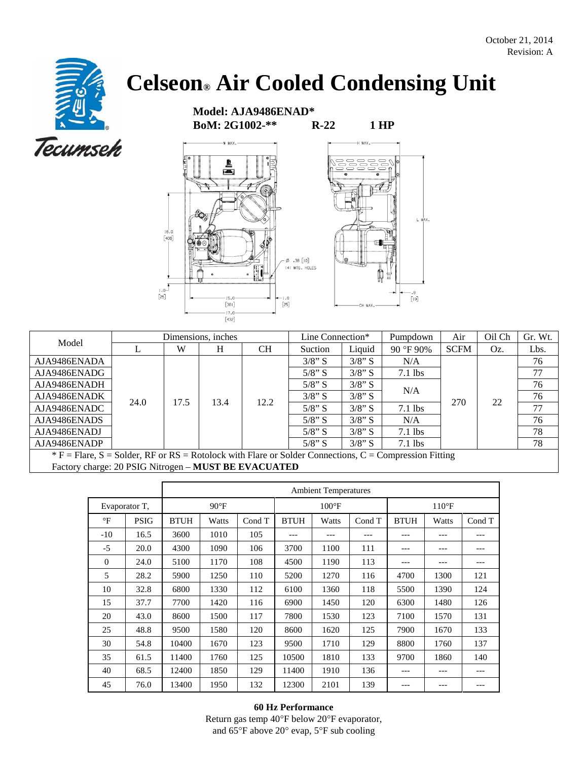## **Celseon® Air Cooled Condensing Unit**

 **Model: AJA9486ENAD\* BoM: 2G1002-\*\* R-22 1 HP** 



|                                                                                                         |      |      | Dimensions, inches |           | Line Connection* |           | Pumpdown  | Air         | Oil Ch | Gr. Wt. |
|---------------------------------------------------------------------------------------------------------|------|------|--------------------|-----------|------------------|-----------|-----------|-------------|--------|---------|
| Model                                                                                                   |      | W    | H                  | <b>CH</b> | Suction          | Liquid    | 90 °F 90% | <b>SCFM</b> | Oz.    | Lbs.    |
| AJA9486ENADA                                                                                            |      |      | 13.4               | 12.2      | $3/8$ " S        | $3/8$ " S | N/A       | 270         | 22     | 76      |
| AJA9486ENADG                                                                                            |      |      |                    |           | $5/8$ " S        | $3/8$ " S | $7.1$ lbs |             |        | 77      |
| AJA9486ENADH                                                                                            |      |      |                    |           | $5/8$ " S        | $3/8$ " S | N/A       |             |        | 76      |
| AJA9486ENADK                                                                                            | 24.0 | 17.5 |                    |           | $3/8$ " S        | $3/8$ " S |           |             |        | 76      |
| AJA9486ENADC                                                                                            |      |      |                    |           | $5/8$ " S        | $3/8$ " S | $7.1$ lbs |             |        | 77      |
| AJA9486ENADS                                                                                            |      |      |                    |           | $5/8$ " S        | $3/8$ " S | N/A       |             |        | 76      |
| AJA9486ENADJ                                                                                            |      |      |                    |           | $5/8$ " S        | $3/8$ " S | $7.1$ lbs |             |        | 78      |
| AJA9486ENADP                                                                                            |      |      |                    |           | $5/8$ " S        | $3/8$ " S | $7.1$ lbs |             |        | 78      |
| $*F$ = Flare, S = Solder, RF or RS = Rotolock with Flare or Solder Connections, C = Compression Fitting |      |      |                    |           |                  |           |           |             |        |         |

Factory charge: 20 PSIG Nitrogen – **MUST BE EVACUATED**

|              |               | <b>Ambient Temperatures</b> |               |        |                |       |        |                |         |         |
|--------------|---------------|-----------------------------|---------------|--------|----------------|-------|--------|----------------|---------|---------|
|              | Evaporator T, |                             | $90^{\circ}F$ |        | $100^{\circ}F$ |       |        | $110^{\circ}F$ |         |         |
| $\mathrm{P}$ | <b>PSIG</b>   | <b>BTUH</b>                 | Watts         | Cond T | <b>BTUH</b>    | Watts | Cond T | <b>BTUH</b>    | Watts   | Cond T  |
| $-10$        | 16.5          | 3600                        | 1010          | 105    | ---            | ---   | ---    | $---$          | $- - -$ | ---     |
| $-5$         | 20.0          | 4300                        | 1090          | 106    | 3700           | 1100  | 111    | ---            | $---$   | ---     |
| $\Omega$     | 24.0          | 5100                        | 1170          | 108    | 4500           | 1190  | 113    | $---$          | $- - -$ | $- - -$ |
| 5            | 28.2          | 5900                        | 1250          | 110    | 5200           | 1270  | 116    | 4700           | 1300    | 121     |
| 10           | 32.8          | 6800                        | 1330          | 112    | 6100           | 1360  | 118    | 5500           | 1390    | 124     |
| 15           | 37.7          | 7700                        | 1420          | 116    | 6900           | 1450  | 120    | 6300           | 1480    | 126     |
| 20           | 43.0          | 8600                        | 1500          | 117    | 7800           | 1530  | 123    | 7100           | 1570    | 131     |
| 25           | 48.8          | 9500                        | 1580          | 120    | 8600           | 1620  | 125    | 7900           | 1670    | 133     |
| 30           | 54.8          | 10400                       | 1670          | 123    | 9500           | 1710  | 129    | 8800           | 1760    | 137     |
| 35           | 61.5          | 11400                       | 1760          | 125    | 10500          | 1810  | 133    | 9700           | 1860    | 140     |
| 40           | 68.5          | 12400                       | 1850          | 129    | 11400          | 1910  | 136    | ---            |         |         |
| 45           | 76.0          | 13400                       | 1950          | 132    | 12300          | 2101  | 139    | ---            | $- - -$ |         |

## **60 Hz Performance**

Return gas temp 40°F below 20°F evaporator, and 65°F above 20° evap, 5°F sub cooling

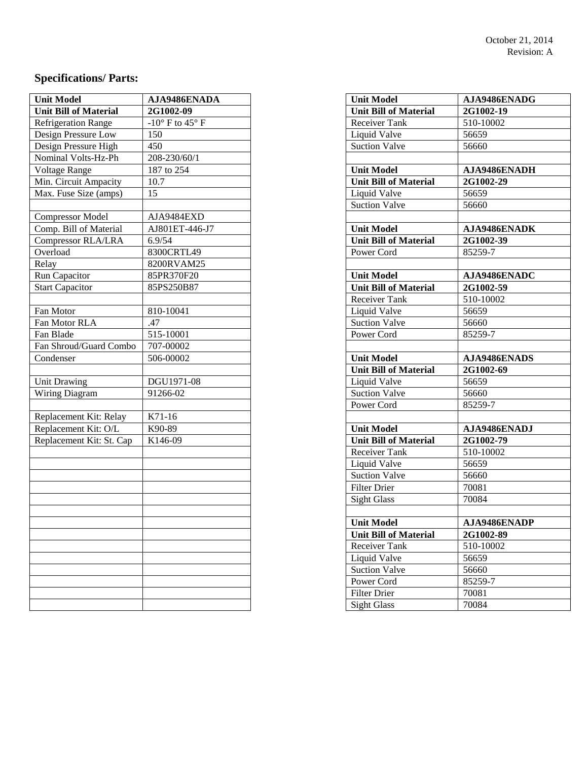## **Specifications/ Parts:**

| <b>Unit Model</b>            | AJA9486ENADA    | <b>Unit Model</b>            | AJA9486ENADG |
|------------------------------|-----------------|------------------------------|--------------|
| <b>Unit Bill of Material</b> | 2G1002-09       | Unit Bill of Material        | 2G1002-19    |
| <b>Refrigeration Range</b>   | -10° F to 45° F | Receiver Tank                | 510-10002    |
| Design Pressure Low          | 150             | Liquid Valve                 | 56659        |
| Design Pressure High         | 450             | <b>Suction Valve</b>         | 56660        |
| Nominal Volts-Hz-Ph          | 208-230/60/1    |                              |              |
| Voltage Range                | 187 to 254      | <b>Unit Model</b>            | AJA9486ENADH |
| Min. Circuit Ampacity        | 10.7            | Unit Bill of Material        | 2G1002-29    |
| Max. Fuse Size (amps)        | 15              | Liquid Valve                 | 56659        |
|                              |                 | <b>Suction Valve</b>         | 56660        |
| <b>Compressor Model</b>      | AJA9484EXD      |                              |              |
| Comp. Bill of Material       | AJ801ET-446-J7  | <b>Unit Model</b>            | AJA9486ENADK |
| Compressor RLA/LRA           | 6.9/54          | <b>Unit Bill of Material</b> | 2G1002-39    |
| Overload                     | 8300CRTL49      | Power Cord                   | 85259-7      |
| Relay                        | 8200RVAM25      |                              |              |
| Run Capacitor                | 85PR370F20      | <b>Unit Model</b>            | AJA9486ENADC |
| <b>Start Capacitor</b>       | 85PS250B87      | <b>Unit Bill of Material</b> | 2G1002-59    |
|                              |                 | Receiver Tank                | 510-10002    |
| Fan Motor                    | 810-10041       | Liquid Valve                 | 56659        |
| Fan Motor RLA                | .47             | <b>Suction Valve</b>         | 56660        |
| Fan Blade                    | 515-10001       | Power Cord                   | 85259-7      |
| Fan Shroud/Guard Combo       | 707-00002       |                              |              |
| Condenser                    | 506-00002       | <b>Unit Model</b>            | AJA9486ENADS |
|                              |                 | <b>Unit Bill of Material</b> | 2G1002-69    |
| <b>Unit Drawing</b>          | DGU1971-08      | Liquid Valve                 | 56659        |
| Wiring Diagram               | 91266-02        | Suction Valve                | 56660        |
|                              |                 | Power Cord                   | 85259-7      |
| Replacement Kit: Relay       | K71-16          |                              |              |
| Replacement Kit: O/L         | K90-89          | <b>Unit Model</b>            | AJA9486ENADJ |
| Replacement Kit: St. Cap     | K146-09         | <b>Unit Bill of Material</b> | 2G1002-79    |
|                              |                 | Receiver Tank                | 510-10002    |
|                              |                 | Liquid Valve                 | 56659        |
|                              |                 | <b>Suction Valve</b>         | 56660        |
|                              |                 | Filter Drier                 | 70081        |
|                              |                 | <b>Sight Glass</b>           | 70084        |
|                              |                 |                              |              |
|                              |                 | <b>Unit Model</b>            | AJA9486ENADP |
|                              |                 | <b>Unit Bill of Material</b> | 2G1002-89    |
|                              |                 | Receiver Tank                | 510-10002    |
|                              |                 | Liquid Valve                 | 56659        |
|                              |                 | <b>Suction Valve</b>         | 56660        |
|                              |                 | Power Cord                   | 85259-7      |
|                              |                 | <b>Filter Drier</b>          | 70081        |
|                              |                 | <b>Sight Glass</b>           | 70084        |
|                              |                 |                              |              |

| <b>Unit Model</b>                         | AJA9486ENADG                  |
|-------------------------------------------|-------------------------------|
| <b>Unit Bill of Material</b>              |                               |
| Receiver Tank                             | <b>2G1002-19</b><br>510-10002 |
|                                           | 56659                         |
| Liquid Valve<br><b>Suction Valve</b>      | 56660                         |
|                                           |                               |
|                                           |                               |
| <b>Unit Model</b>                         | <b>AJA9486ENADH</b>           |
| <b>Unit Bill of Material</b>              | 2G1002-29<br>56659            |
| Liquid Valve<br><b>Suction Valve</b>      | 56660                         |
|                                           |                               |
| <b>Unit Model</b>                         | AJA9486ENADK                  |
| <b>Unit Bill of Material</b>              | 2G1002-39                     |
| Power Cord                                | 85259-7                       |
|                                           |                               |
| <b>Unit Model</b>                         | AJA9486ENADC                  |
| <b>Unit Bill of Material</b>              | 2G1002-59                     |
| Receiver Tank                             | 510-10002                     |
| Liquid Valve                              | 56659                         |
| <b>Suction Valve</b>                      | 56660                         |
| Power Cord                                | 85259-7                       |
|                                           |                               |
|                                           |                               |
| <b>Unit Model</b>                         | AJA9486ENADS                  |
| <b>Unit Bill of Material</b>              | 2G1002-69                     |
| Liquid Valve                              | 56659                         |
| <b>Suction Valve</b>                      | 56660                         |
| Power Cord                                | 85259-7                       |
|                                           |                               |
| <b>Unit Model</b>                         | <b>AJA9486ENADJ</b>           |
| <b>Unit Bill of Material</b>              | 2G1002-79                     |
| Receiver Tank                             | 510-10002                     |
| Liquid Valve                              | 56659                         |
| <b>Suction Valve</b>                      | 56660                         |
| <b>Filter Drier</b>                       | 70081                         |
| <b>Sight Glass</b>                        | 70084                         |
|                                           |                               |
| <b>Unit Model</b>                         | AJA9486ENADP                  |
| <b>Unit Bill of Material</b>              | 2G1002-89                     |
| Receiver Tank                             | 510-10002                     |
| Liquid Valve                              | 56659                         |
| <b>Suction Valve</b>                      | 56660                         |
| Power Cord                                | 85259-7                       |
| <b>Filter Drier</b><br><b>Sight Glass</b> | 70081<br>70084                |